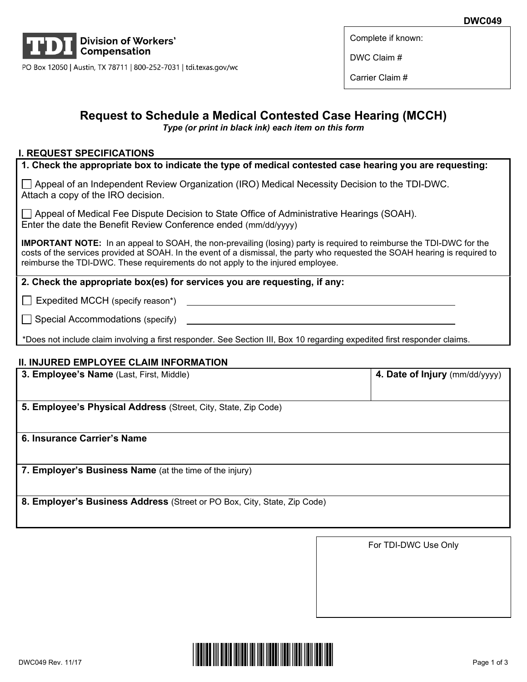

PO Box 12050 | Austin, TX 78711 | 800-252-7031 | tdi.texas.gov/wc

Complete if known:

DWC Claim #

Carrier Claim #

# **Request to Schedule a Medical Contested Case Hearing (MCCH)**

*Type (or print in black ink) each item on this form*

# **I. REQUEST SPECIFICATIONS**

# **1. Check the appropriate box to indicate the type of medical contested case hearing you are requesting:**

Appeal of an Independent Review Organization (IRO) Medical Necessity Decision to the TDI-DWC. Attach a copy of the IRO decision.

 $\Box$  Appeal of Medical Fee Dispute Decision to State Office of Administrative Hearings (SOAH). Enter the date the Benefit Review Conference ended (mm/dd/yyyy)

**IMPORTANT NOTE:** In an appeal to SOAH, the non-prevailing (losing) party is required to reimburse the TDI-DWC for the costs of the services provided at SOAH. In the event of a dismissal, the party who requested the SOAH hearing is required to reimburse the TDI-DWC. These requirements do not apply to the injured employee.

# **2. Check the appropriate box(es) for services you are requesting, if any:**

 $\Box$  Expedited MCCH (specify reason\*)

 $\Box$  Special Accommodations (specify)

\*Does not include claim involving a first responder. See Section III, Box 10 regarding expedited first responder claims.

# **II. INJURED EMPLOYEE CLAIM INFORMATION**

| 3. Employee's Name (Last, First, Middle)                                 | 4. Date of Injury (mm/dd/yyyy) |
|--------------------------------------------------------------------------|--------------------------------|
|                                                                          |                                |
| 5. Employee's Physical Address (Street, City, State, Zip Code)           |                                |
| 6. Insurance Carrier's Name                                              |                                |
|                                                                          |                                |
| 7. Employer's Business Name (at the time of the injury)                  |                                |
| 8. Employer's Business Address (Street or PO Box, City, State, Zip Code) |                                |

For TDI-DWC Use Only

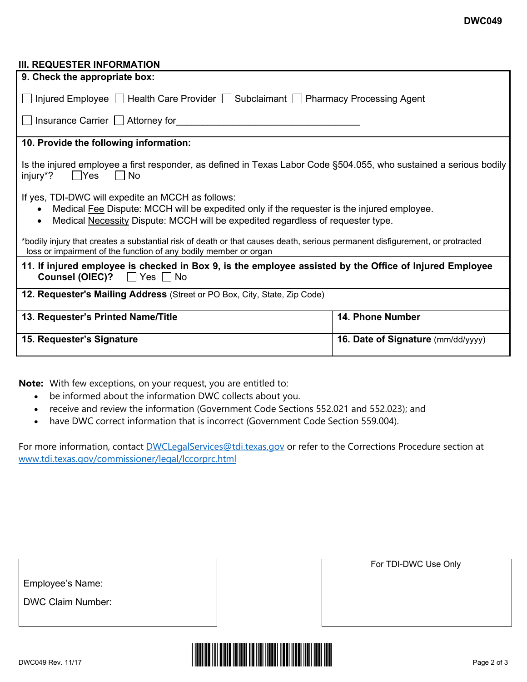| 9. Check the appropriate box:<br>□ Injured Employee □ Health Care Provider □ Subclaimant □ Pharmacy Processing Agent<br>□ Insurance Carrier □ Attorney for                                                                                                   |  |  |  |
|--------------------------------------------------------------------------------------------------------------------------------------------------------------------------------------------------------------------------------------------------------------|--|--|--|
|                                                                                                                                                                                                                                                              |  |  |  |
|                                                                                                                                                                                                                                                              |  |  |  |
|                                                                                                                                                                                                                                                              |  |  |  |
| 10. Provide the following information:                                                                                                                                                                                                                       |  |  |  |
| Is the injured employee a first responder, as defined in Texas Labor Code §504.055, who sustained a serious bodily<br>injury*? □Yes<br>$\Box$ No                                                                                                             |  |  |  |
| If yes, TDI-DWC will expedite an MCCH as follows:<br>Medical Fee Dispute: MCCH will be expedited only if the requester is the injured employee.<br>$\bullet$<br>Medical Necessity Dispute: MCCH will be expedited regardless of requester type.<br>$\bullet$ |  |  |  |
| *bodily injury that creates a substantial risk of death or that causes death, serious permanent disfigurement, or protracted<br>loss or impairment of the function of any bodily member or organ                                                             |  |  |  |
| 11. If injured employee is checked in Box 9, is the employee assisted by the Office of Injured Employee<br><b>Counsel (OIEC)?</b> Yes No                                                                                                                     |  |  |  |
| 12. Requester's Mailing Address (Street or PO Box, City, State, Zip Code)                                                                                                                                                                                    |  |  |  |
| 14. Phone Number<br>13. Requester's Printed Name/Title                                                                                                                                                                                                       |  |  |  |
| 15. Requester's Signature<br>16. Date of Signature (mm/dd/yyyy)                                                                                                                                                                                              |  |  |  |

**Note:** With few exceptions, on your request, you are entitled to:

- be informed about the information DWC collects about you.
- receive and review the information (Government Code Sections 552.021 and 552.023); and
- have DWC correct information that is incorrect (Government Code Section 559.004).

For more information, contact **DWCLegalServices@tdi.texas.gov** or refer to the Corrections Procedure section at www.tdi.texas.gov/commissioner/legal/lccorprc.html

|                          | For TDI-DWC Use |
|--------------------------|-----------------|
| Employee's Name:         |                 |
| <b>DWC Claim Number:</b> |                 |
|                          |                 |
|                          |                 |



Only